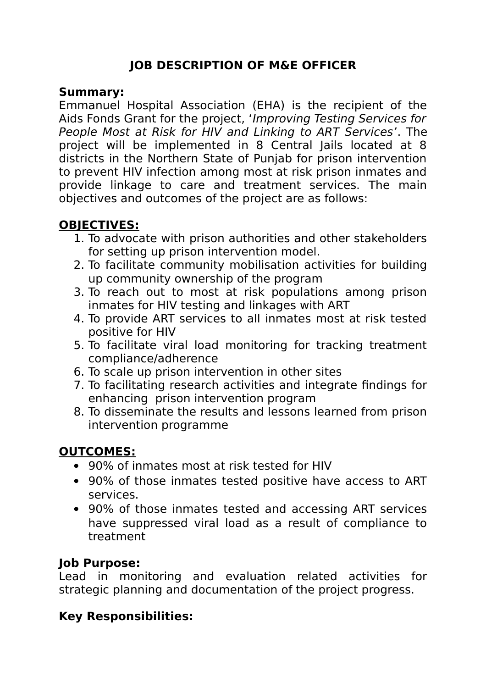### **JOB DESCRIPTION OF M&E OFFICER**

#### **Summary:**

Emmanuel Hospital Association (EHA) is the recipient of the Aids Fonds Grant for the project, 'Improving Testing Services for People Most at Risk for HIV and Linking to ART Services'. The project will be implemented in 8 Central Jails located at 8 districts in the Northern State of Punjab for prison intervention to prevent HIV infection among most at risk prison inmates and provide linkage to care and treatment services. The main objectives and outcomes of the project are as follows:

## **OBJECTIVES:**

- 1. To advocate with prison authorities and other stakeholders for setting up prison intervention model.
- 2. To facilitate community mobilisation activities for building up community ownership of the program
- 3. To reach out to most at risk populations among prison inmates for HIV testing and linkages with ART
- 4. To provide ART services to all inmates most at risk tested positive for HIV
- 5. To facilitate viral load monitoring for tracking treatment compliance/adherence
- 6. To scale up prison intervention in other sites
- 7. To facilitating research activities and integrate findings for enhancing prison intervention program
- 8. To disseminate the results and lessons learned from prison intervention programme

### **OUTCOMES:**

- 90% of inmates most at risk tested for HIV
- 90% of those inmates tested positive have access to ART services.
- 90% of those inmates tested and accessing ART services have suppressed viral load as a result of compliance to treatment

#### **Job Purpose:**

Lead in monitoring and evaluation related activities for strategic planning and documentation of the project progress.

### **Key Responsibilities:**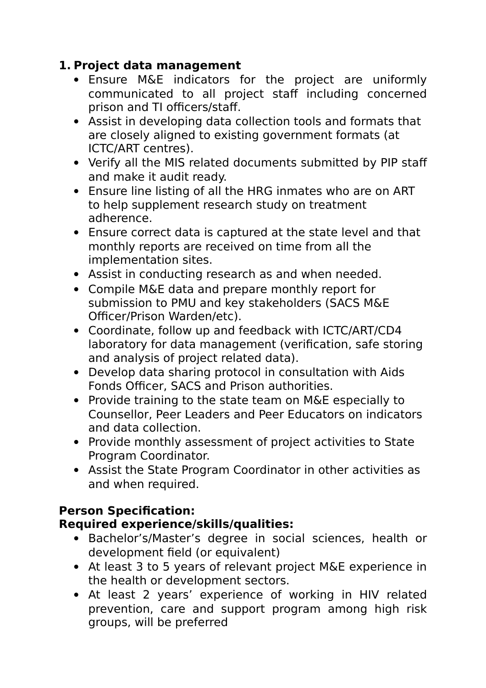### **1. Project data management**

- Ensure M&E indicators for the project are uniformly communicated to all project staff including concerned prison and TI officers/staff.
- Assist in developing data collection tools and formats that are closely aligned to existing government formats (at ICTC/ART centres).
- Verify all the MIS related documents submitted by PIP staff and make it audit ready.
- Ensure line listing of all the HRG inmates who are on ART to help supplement research study on treatment adherence.
- Ensure correct data is captured at the state level and that monthly reports are received on time from all the implementation sites.
- Assist in conducting research as and when needed.
- Compile M&E data and prepare monthly report for submission to PMU and key stakeholders (SACS M&E Officer/Prison Warden/etc).
- Coordinate, follow up and feedback with ICTC/ART/CD4 laboratory for data management (verification, safe storing and analysis of project related data).
- Develop data sharing protocol in consultation with Aids Fonds Officer, SACS and Prison authorities.
- Provide training to the state team on M&E especially to Counsellor, Peer Leaders and Peer Educators on indicators and data collection.
- Provide monthly assessment of project activities to State Program Coordinator.
- Assist the State Program Coordinator in other activities as and when required.

# **Person Specification:**

### **Required experience/skills/qualities:**

- Bachelor's/Master's degree in social sciences, health or development field (or equivalent)
- At least 3 to 5 years of relevant project M&E experience in the health or development sectors.
- At least 2 years' experience of working in HIV related prevention, care and support program among high risk groups, will be preferred